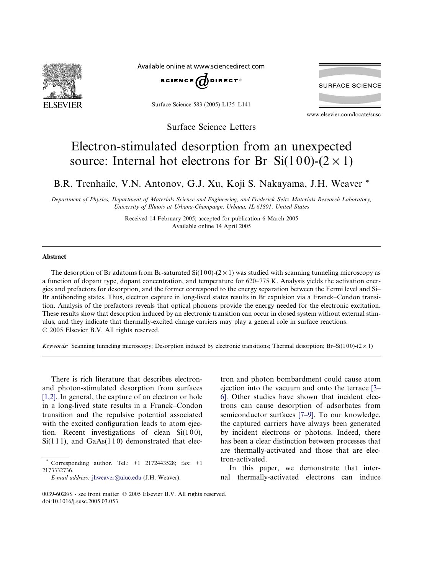

Available online at www.sciencedirect.com



Surface Science 583 (2005) L135–L141

Surface Science Letters

**SURFACE SCIENCE** 

www.elsevier.com/locate/susc

## Electron-stimulated desorption from an unexpected source: Internal hot electrons for Br-Si(100)-( $2 \times 1$ )

B.R. Trenhaile, V.N. Antonov, G.J. Xu, Koji S. Nakayama, J.H. Weaver \*

Department of Physics, Department of Materials Science and Engineering, and Frederick Seitz Materials Research Laboratory, University of Illinois at Urbana-Champaign, Urbana, IL 61801, United States

> Received 14 February 2005; accepted for publication 6 March 2005 Available online 14 April 2005

## Abstract

The desorption of Br adatoms from Br-saturated  $Si(100)-(2\times1)$  was studied with scanning tunneling microscopy as a function of dopant type, dopant concentration, and temperature for 620–775 K. Analysis yields the activation energies and prefactors for desorption, and the former correspond to the energy separation between the Fermi level and Si– Br antibonding states. Thus, electron capture in long-lived states results in Br expulsion via a Franck–Condon transition. Analysis of the prefactors reveals that optical phonons provide the energy needed for the electronic excitation. These results show that desorption induced by an electronic transition can occur in closed system without external stimulus, and they indicate that thermally-excited charge carriers may play a general role in surface reactions. 2005 Elsevier B.V. All rights reserved.

Keywords: Scanning tunneling microscopy; Desorption induced by electronic transitions; Thermal desorption; Br–Si(100)-(2 × 1)

There is rich literature that describes electronand photon-stimulated desorption from surfaces [\[1,2\].](#page-5-0) In general, the capture of an electron or hole in a long-lived state results in a Franck–Condon transition and the repulsive potential associated with the excited configuration leads to atom ejection. Recent investigations of clean  $Si(100)$ ,  $Si(111)$ , and  $GaAs(110)$  demonstrated that electron and photon bombardment could cause atom ejection into the vacuum and onto the terrace [\[3–](#page-5-0) [6\]](#page-5-0). Other studies have shown that incident electrons can cause desorption of adsorbates from semiconductor surfaces [\[7–9\].](#page-5-0) To our knowledge, the captured carriers have always been generated by incident electrons or photons. Indeed, there has been a clear distinction between processes that are thermally-activated and those that are electron-activated.

In this paper, we demonstrate that internal thermally-activated electrons can induce

Corresponding author. Tel.:  $+1$  2172443528; fax:  $+1$ 2173332736.

E-mail address: [jhweaver@uiuc.edu](mailto:jhweaver@uiuc.edu) (J.H. Weaver).

<sup>0039-6028/\$ -</sup> see front matter © 2005 Elsevier B.V. All rights reserved. doi:10.1016/j.susc.2005.03.053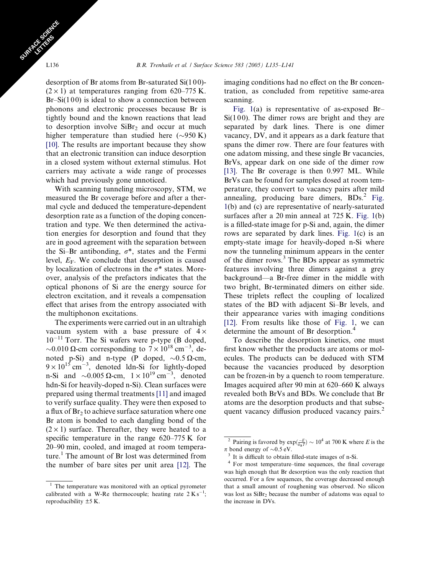desorption of Br atoms from Br-saturated  $Si(100)$ - $(2 \times 1)$  at temperatures ranging from 620–775 K.  $Br-Si(100)$  is ideal to show a connection between phonons and electronic processes because Br is tightly bound and the known reactions that lead to desorption involve  $\text{SiBr}_2$  and occur at much higher temperature than studied here  $(\sim 950 \text{ K})$ [\[10\].](#page-5-0) The results are important because they show that an electronic transition can induce desorption in a closed system without external stimulus. Hot carriers may activate a wide range of processes which had previously gone unnoticed.

With scanning tunneling microscopy, STM, we measured the Br coverage before and after a thermal cycle and deduced the temperature-dependent desorption rate as a function of the doping concentration and type. We then determined the activation energies for desorption and found that they are in good agreement with the separation between the Si–Br antibonding,  $\sigma^*$ , states and the Fermi level,  $E_F$ . We conclude that desorption is caused by localization of electrons in the  $\sigma^*$  states. Moreover, analysis of the prefactors indicates that the optical phonons of Si are the energy source for electron excitation, and it reveals a compensation effect that arises from the entropy associated with the multiphonon excitations.

The experiments were carried out in an ultrahigh vacuum system with a base pressure of  $4 \times$ 10<sup>-11</sup> Torr. The Si wafers were p-type (B doped, ~0.010  $\Omega$ -cm corresponding to  $7 \times 10^{18}$  cm<sup>-3</sup>, denoted p-Si) and n-type (P doped,  $\sim 0.5 \Omega$ -cm,  $9 \times 10^{15}$  cm<sup>-3</sup>, denoted ldn-Si for lightly-doped n-Si and  $\sim 0.005 \Omega$ -cm,  $1 \times 10^{19} \text{ cm}^{-3}$ , denoted hdn-Si for heavily-doped n-Si). Clean surfaces were prepared using thermal treatments [\[11\]](#page-6-0) and imaged to verify surface quality. They were then exposed to a flux of  $Br<sub>2</sub>$  to achieve surface saturation where one Br atom is bonded to each dangling bond of the  $(2 \times 1)$  surface. Thereafter, they were heated to a specific temperature in the range 620–775 K for 20–90 min, cooled, and imaged at room temperature.<sup>1</sup> The amount of Br lost was determined from the number of bare sites per unit area [\[12\]](#page-6-0). The

imaging conditions had no effect on the Br concentration, as concluded from repetitive same-area scanning.

[Fig. 1](#page-2-0)(a) is representative of as-exposed Br–  $Si(100)$ . The dimer rows are bright and they are separated by dark lines. There is one dimer vacancy, DV, and it appears as a dark feature that spans the dimer row. There are four features with one adatom missing, and these single Br vacancies, BrVs, appear dark on one side of the dimer row [\[13\]](#page-6-0). The Br coverage is then 0.997 ML. While BrVs can be found for samples dosed at room temperature, they convert to vacancy pairs after mild annealing, producing bare dimers,  $BDs<sup>2</sup> Fig.$  $BDs<sup>2</sup> Fig.$ [1\(](#page-2-0)b) and (c) are representative of nearly-saturated surfaces after a 20 min anneal at 725 K. [Fig. 1\(](#page-2-0)b) is a filled-state image for p-Si and, again, the dimer rows are separated by dark lines. [Fig. 1](#page-2-0)(c) is an empty-state image for heavily-doped n-Si where now the tunneling minimum appears in the center of the dimer rows.<sup>3</sup> The BDs appear as symmetric features involving three dimers against a grey background—a Br-free dimer in the middle with two bright, Br-terminated dimers on either side. These triplets reflect the coupling of localized states of the BD with adjacent Si–Br levels, and their appearance varies with imaging conditions [\[12\]](#page-6-0). From results like those of [Fig. 1](#page-2-0), we can determine the amount of Br desorption.<sup>4</sup>

To describe the desorption kinetics, one must first know whether the products are atoms or molecules. The products can be deduced with STM because the vacancies produced by desorption can be frozen-in by a quench to room temperature. Images acquired after 90 min at 620–660 K always revealed both BrVs and BDs. We conclude that Br atoms are the desorption products and that subsequent vacancy diffusion produced vacancy pairs.<sup>2</sup>

SURFACE SCIENCE CE STRES

<sup>&</sup>lt;sup>1</sup> The temperature was monitored with an optical pyrometer calibrated with a W-Re thermocouple; heating rate  $2 \text{ K s}^{-1}$ ; reproducibility ±5 K.

<sup>&</sup>lt;sup>2</sup> Pairing is favored by  $\exp(\frac{-E}{k_B T}) \sim 10^4$  at 700 K where *E* is the  $\pi$  bond energy of  $\sim 0.5$  eV.<br><sup>3</sup> It is difficult to obtain filled-state images of n-Si.<br><sup>4</sup> For most temperature–time sequences, the final coverage

was high enough that Br desorption was the only reaction that occurred. For a few sequences, the coverage decreased enough that a small amount of roughening was observed. No silicon was lost as SiBr<sub>2</sub> because the number of adatoms was equal to the increase in DVs.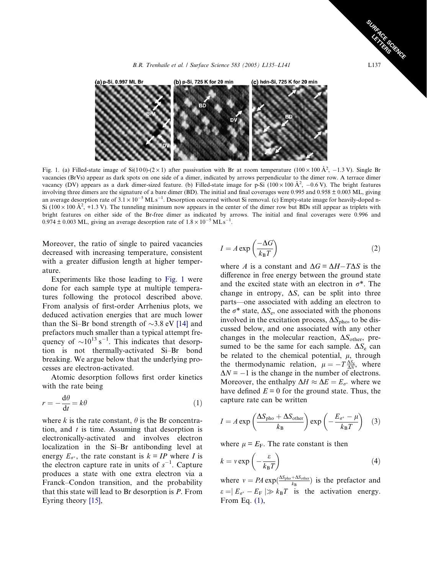<span id="page-2-0"></span>

Fig. 1. (a) Filled-state image of Si(100)-(2 × 1) after passivation with Br at room temperature (100 × 100 Å<sup>2</sup>, -1.3 V). Single Br vacancies (BrVs) appear as dark spots on one side of a dimer, indicated by arrows perpendicular to the dimer row. A terrace dimer vacancy (DV) appears as a dark dimer-sized feature. (b) Filled-state image for p-Si ( $100 \times 100 \text{ Å}^2$ ,  $-0.6 \text{ V}$ ). The bright features involving three dimers are the signature of a bare dimer (BD). The initial and final coverages were 0.995 and 0.958 ± 0.003 ML, giving an average desorption rate of  $3.1 \times 10^{-5}$  MLs<sup>-1</sup>. Desorption occurred without Si removal. (c) Empty-state image for heavily-doped n-Si ( $100 \times 100 \text{ Å}^2$ , +1.3 V). The tunneling minimum now appears in the center of the dimer row but BDs still appear as triplets with bright features on either side of the Br-free dimer as indicated by arrows. The initial and final coverages were 0.996 and  $0.974 \pm 0.003$  ML, giving an average desorption rate of  $1.8 \times 10^{-5}$  MLs<sup>-1</sup>.

Moreover, the ratio of single to paired vacancies decreased with increasing temperature, consistent with a greater diffusion length at higher temperature.

Experiments like those leading to Fig. 1 were done for each sample type at multiple temperatures following the protocol described above. From analysis of first-order Arrhenius plots, we deduced activation energies that are much lower than the Si–Br bond strength of  $\sim$ 3.8 eV [\[14\]](#page-6-0) and prefactors much smaller than a typical attempt frequency of  $\sim 10^{13}$  s<sup>-1</sup>. This indicates that desorption is not thermally-activated Si–Br bond breaking. We argue below that the underlying processes are electron-activated.

Atomic desorption follows first order kinetics with the rate being

$$
r = -\frac{\mathrm{d}\theta}{\mathrm{d}t} = k\theta\tag{1}
$$

where k is the rate constant,  $\theta$  is the Br concentration, and  $t$  is time. Assuming that desorption is electronically-activated and involves electron localization in the Si–Br antibonding level at energy  $E_{\sigma^*}$ , the rate constant is  $k = IP$  where I is the electron capture rate in units of  $s^{-1}$ . Capture produces a state with one extra electron via a Franck–Condon transition, and the probability that this state will lead to Br desorption is P. From Eyring theory [\[15\],](#page-6-0)

$$
I = A \exp\left(\frac{-\Delta G}{k_{\rm B}T}\right) \tag{2}
$$

where A is a constant and  $\Delta G = \Delta H - T \Delta S$  is the difference in free energy between the ground state and the excited state with an electron in  $\sigma^*$ . The change in entropy,  $\Delta S$ , can be split into three parts—one associated with adding an electron to the  $\sigma^*$  state,  $\Delta S_e$ , one associated with the phonons involved in the excitation process,  $\Delta S_{\text{pho}}$ , to be discussed below, and one associated with any other changes in the molecular reaction,  $\Delta S_{other}$ , presumed to be the same for each sample.  $\Delta S_e$  can be related to the chemical potential,  $\mu$ , through the thermodynamic relation,  $\mu = -T \frac{\Delta S_e}{\Delta N}$ , where  $\Delta N = -1$  is the change in the number of electrons. Moreover, the enthalpy  $\Delta H \approx \Delta E = E_{\sigma^*}$  where we have defined  $E = 0$  for the ground state. Thus, the capture rate can be written

$$
I = A \exp\left(\frac{\Delta S_{\text{pho}} + \Delta S_{\text{other}}}{k_{\text{B}}}\right) \exp\left(-\frac{E_{\sigma^*} - \mu}{k_{\text{B}}T}\right) \quad (3)
$$

where  $\mu = E_F$ . The rate constant is then

$$
k = v \exp\left(-\frac{\varepsilon}{k_{\rm B}T}\right) \tag{4}
$$

where  $v = PA \exp(\frac{\Delta S_{\text{pho}} + \Delta S_{\text{other}}}{k_B})$  is the prefactor and  $\varepsilon = |E_{\sigma^*} - E_F| \gg k_B T$  is the activation energy. From Eq. (1),

SURFACE SCIENCE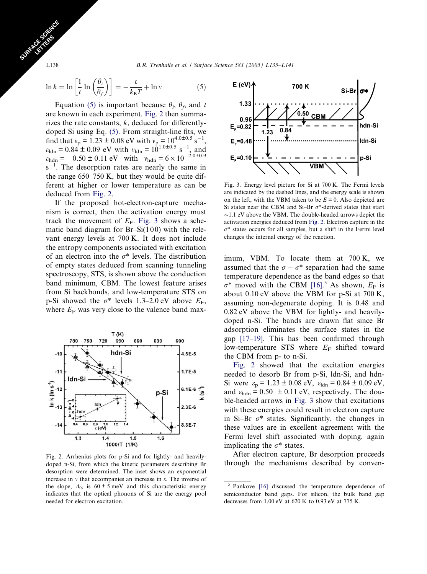L138 B.R. Trenhaile et al. / Surface Science 583 (2005) L135–L141

$$
\ln k = \ln \left[ \frac{1}{t} \ln \left( \frac{\theta_i}{\theta_f} \right) \right] = -\frac{\varepsilon}{k_B T} + \ln v \tag{5}
$$

Equation (5) is important because  $\theta_i$ ,  $\theta_f$ , and t are known in each experiment. Fig. 2 then summarizes the rate constants,  $k$ , deduced for differentlydoped Si using Eq. (5). From straight-line fits, we find that  $\varepsilon_p = 1.23 \pm 0.08$  eV with  $v_p = 10^{4.0 \pm 0.5}$  s<sup>-1</sup>,  $\varepsilon_{\text{ldn}} = 0.84 \pm 0.09$  eV with  $v_{\text{ldn}} = 10^{1.0 \pm 0.5}$  s<sup>-1</sup>, and  $\varepsilon_{\text{hdn}} = 0.50 \pm 0.11 \text{ eV}$  with  $v_{\text{hdn}} = 6 \times 10^{-2.0 \pm 0.9}$  $s^{-1}$ . The desorption rates are nearly the same in the range 650–750 K, but they would be quite different at higher or lower temperature as can be deduced from Fig. 2.

If the proposed hot-electron-capture mechanism is correct, then the activation energy must track the movement of  $E_F$ . Fig. 3 shows a schematic band diagram for  $Br-Si(100)$  with the relevant energy levels at 700 K. It does not include the entropy components associated with excitation of an electron into the  $\sigma^*$  levels. The distribution of empty states deduced from scanning tunneling spectroscopy, STS, is shown above the conduction band minimum, CBM. The lowest feature arises from Si backbonds, and low-temperature STS on p-Si showed the  $\sigma^*$  levels 1.3–2.0 eV above  $E_F$ , where  $E_F$  was very close to the valence band max-



Fig. 2. Arrhenius plots for p-Si and for lightly- and heavilydoped n-Si, from which the kinetic parameters describing Br desorption were determined. The inset shows an exponential increase in  $\nu$  that accompanies an increase in  $\varepsilon$ . The inverse of the slope,  $\Delta_0$ , is  $60 \pm 5$  meV and this characteristic energy indicates that the optical phonons of Si are the energy pool needed for electron excitation.



Fig. 3. Energy level picture for Si at 700 K. The Fermi levels are indicated by the dashed lines, and the energy scale is shown on the left, with the VBM taken to be  $E = 0$ . Also depicted are Si states near the CBM and Si-Br  $\sigma^*$ -derived states that start  $\sim$ 1.1 eV above the VBM. The double-headed arrows depict the activation energies deduced from Fig. 2. Electron capture in the  $\sigma^*$  states occurs for all samples, but a shift in the Fermi level changes the internal energy of the reaction.

imum, VBM. To locate them at 700 K, we assumed that the  $\sigma - \sigma^*$  separation had the same temperature dependence as the band edges so that  $\sigma^*$  moved with the CBM [\[16\]](#page-6-0).<sup>5</sup> As shown,  $E_F$  is about 0.10 eV above the VBM for p-Si at 700 K, assuming non-degenerate doping. It is 0.48 and 0.82 eV above the VBM for lightly- and heavilydoped n-Si. The bands are drawn flat since Br adsorption eliminates the surface states in the gap [\[17–19\].](#page-6-0) This has been confirmed through low-temperature STS where  $E_F$  shifted toward the CBM from p- to n-Si.

Fig. 2 showed that the excitation energies needed to desorb Br from p-Si, ldn-Si, and hdn-Si were  $\varepsilon_p = 1.23 \pm 0.08$  eV,  $\varepsilon_{\text{ldn}} = 0.84 \pm 0.09$  eV, and  $\varepsilon_{\text{hdn}} = 0.50 \pm 0.11$  eV, respectively. The double-headed arrows in Fig. 3 show that excitations with these energies could result in electron capture in Si–Br  $\sigma^*$  states. Significantly, the changes in these values are in excellent agreement with the Fermi level shift associated with doping, again implicating the  $\sigma^*$  states.

After electron capture, Br desorption proceeds through the mechanisms described by conven-

<span id="page-3-0"></span>SURFACE SCIENCE CE STRES

Pankove [\[16\]](#page-6-0) discussed the temperature dependence of semiconductor band gaps. For silicon, the bulk band gap decreases from 1.00 eV at 620 K to 0.93 eV at 775 K.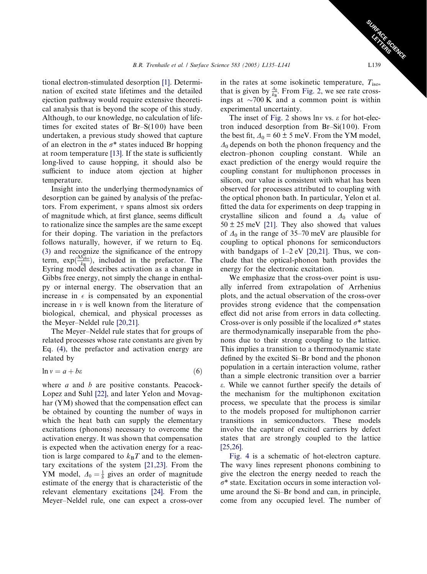tional electron-stimulated desorption [\[1\].](#page-5-0) Determination of excited state lifetimes and the detailed ejection pathway would require extensive theoretical analysis that is beyond the scope of this study. Although, to our knowledge, no calculation of lifetimes for excited states of  $Br-S(100)$  have been undertaken, a previous study showed that capture of an electron in the  $\sigma^*$  states induced Br hopping at room temperature [\[13\]](#page-6-0). If the state is sufficiently long-lived to cause hopping, it should also be sufficient to induce atom ejection at higher temperature.

Insight into the underlying thermodynamics of desorption can be gained by analysis of the prefactors. From experiment,  $\nu$  spans almost six orders of magnitude which, at first glance, seems difficult to rationalize since the samples are the same except for their doping. The variation in the prefactors follows naturally, however, if we return to Eq. [\(3\)](#page-2-0) and recognize the significance of the entropy term,  $\exp(\frac{\Delta S_{\text{pho}}}{k_B})$ , included in the prefactor. The Eyring model describes activation as a change in Gibbs free energy, not simply the change in enthalpy or internal energy. The observation that an increase in  $\epsilon$  is compensated by an exponential increase in  $\nu$  is well known from the literature of biological, chemical, and physical processes as the Meyer–Neldel rule [\[20,21\].](#page-6-0)

The Meyer–Neldel rule states that for groups of related processes whose rate constants are given by Eq. [\(4\)](#page-2-0), the prefactor and activation energy are related by

$$
\ln v = a + b\varepsilon \tag{6}
$$

where  $a$  and  $b$  are positive constants. Peacock-Lopez and Suhl [\[22\],](#page-6-0) and later Yelon and Movaghar (YM) showed that the compensation effect can be obtained by counting the number of ways in which the heat bath can supply the elementary excitations (phonons) necessary to overcome the activation energy. It was shown that compensation is expected when the activation energy for a reaction is large compared to  $k_BT$  and to the elementary excitations of the system [\[21,23\]](#page-6-0). From the YM model,  $\Delta_0 = \frac{1}{b}$  gives an order of magnitude estimate of the energy that is characteristic of the relevant elementary excitations [\[24\]](#page-6-0). From the Meyer–Neldel rule, one can expect a cross-over

in the rates at some isokinetic temperature,  $T_{\text{iso}}$ , that is given by  $\frac{A_0}{k_B}$ . From [Fig. 2,](#page-3-0) we see rate crossings at  $\sim$ 700 K and a common point is within experimental uncertainty.

The inset of [Fig. 2](#page-3-0) shows lnv vs.  $\varepsilon$  for hot-electron induced desorption from  $Br-Si(100)$ . From the best fit,  $\Delta_0 = 60 \pm 5$  meV. From the YM model,  $\Delta_0$  depends on both the phonon frequency and the electron–phonon coupling constant. While an exact prediction of the energy would require the coupling constant for multiphonon processes in silicon, our value is consistent with what has been observed for processes attributed to coupling with the optical phonon bath. In particular, Yelon et al. fitted the data for experiments on deep trapping in crystalline silicon and found a  $\Delta_0$  value of  $50 \pm 25$  meV [\[21\].](#page-6-0) They also showed that values of  $\Delta_0$  in the range of 35–70 meV are plausible for coupling to optical phonons for semiconductors with bandgaps of  $1-2$  eV  $[20,21]$ . Thus, we conclude that the optical-phonon bath provides the energy for the electronic excitation.

We emphasize that the cross-over point is usually inferred from extrapolation of Arrhenius plots, and the actual observation of the cross-over provides strong evidence that the compensation effect did not arise from errors in data collecting. Cross-over is only possible if the localized  $\sigma^*$  states are thermodynamically inseparable from the phonons due to their strong coupling to the lattice. This implies a transition to a thermodynamic state defined by the excited Si–Br bond and the phonon population in a certain interaction volume, rather than a simple electronic transition over a barrier e. While we cannot further specify the details of the mechanism for the multiphonon excitation process, we speculate that the process is similar to the models proposed for multiphonon carrier transitions in semiconductors. These models involve the capture of excited carriers by defect states that are strongly coupled to the lattice [\[25,26\].](#page-6-0)

[Fig. 4](#page-5-0) is a schematic of hot-electron capture. The wavy lines represent phonons combining to give the electron the energy needed to reach the  $\sigma^*$  state. Excitation occurs in some interaction volume around the Si–Br bond and can, in principle, come from any occupied level. The number of

SURFACE SCIENCE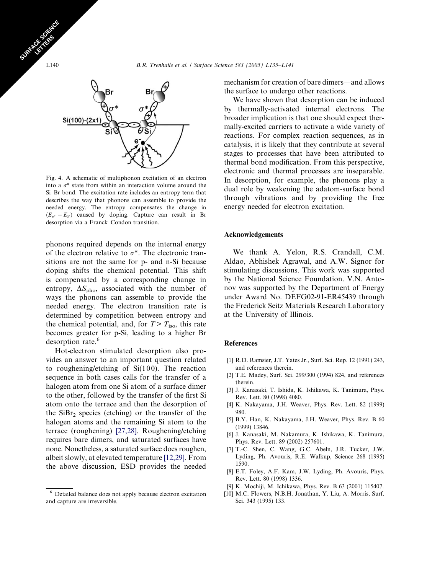

Fig. 4. A schematic of multiphonon excitation of an electron into a  $\sigma^*$  state from within an interaction volume around the Si–Br bond. The excitation rate includes an entropy term that describes the way that phonons can assemble to provide the needed energy. The entropy compensates the change in  $(E_{\sigma^*} - E_F)$  caused by doping. Capture can result in Br desorption via a Franck–Condon transition.

phonons required depends on the internal energy of the electron relative to  $\sigma^*$ . The electronic transitions are not the same for p- and n-Si because doping shifts the chemical potential. This shift is compensated by a corresponding change in entropy,  $\Delta S_{\rm pho}$ , associated with the number of ways the phonons can assemble to provide the needed energy. The electron transition rate is determined by competition between entropy and the chemical potential, and, for  $T > T_{\text{iso}}$ , this rate becomes greater for p-Si, leading to a higher Br desorption rate.<sup>6</sup>

Hot-electron stimulated desorption also provides an answer to an important question related to roughening/etching of  $Si(100)$ . The reaction sequence in both cases calls for the transfer of a halogen atom from one Si atom of a surface dimer to the other, followed by the transfer of the first Si atom onto the terrace and then the desorption of the  $SiBr<sub>2</sub>$  species (etching) or the transfer of the halogen atoms and the remaining Si atom to the terrace (roughening) [\[27,28\]](#page-6-0). Roughening/etching requires bare dimers, and saturated surfaces have none. Nonetheless, a saturated surface does roughen, albeit slowly, at elevated temperature [\[12,29\].](#page-6-0) From the above discussion, ESD provides the needed

<sup>6</sup> Detailed balance does not apply because electron excitation and capture are irreversible.

mechanism for creation of bare dimers—and allows the surface to undergo other reactions.

We have shown that desorption can be induced by thermally-activated internal electrons. The broader implication is that one should expect thermally-excited carriers to activate a wide variety of reactions. For complex reaction sequences, as in catalysis, it is likely that they contribute at several stages to processes that have been attributed to thermal bond modification. From this perspective, electronic and thermal processes are inseparable. In desorption, for example, the phonons play a dual role by weakening the adatom-surface bond through vibrations and by providing the free energy needed for electron excitation.

## Acknowledgements

We thank A. Yelon, R.S. Crandall, C.M. Aldao, Abhishek Agrawal, and A.W. Signor for stimulating discussions. This work was supported by the National Science Foundation. V.N. Antonov was supported by the Department of Energy under Award No. DEFG02-91-ER45439 through the Frederick Seitz Materials Research Laboratory at the University of Illinois.

## References

- [1] R.D. Ramsier, J.T. Yates Jr., Surf. Sci. Rep. 12 (1991) 243, and references therein.
- [2] T.E. Madey, Surf. Sci. 299/300 (1994) 824, and references therein.
- [3] J. Kanasaki, T. Ishida, K. Ishikawa, K. Tanimura, Phys. Rev. Lett. 80 (1998) 4080.
- [4] K. Nakayama, J.H. Weaver, Phys. Rev. Lett. 82 (1999) 980.
- [5] B.Y. Han, K. Nakayama, J.H. Weaver, Phys. Rev. B 60 (1999) 13846.
- [6] J. Kanasaki, M. Nakamura, K. Ishikawa, K. Tanimura, Phys. Rev. Lett. 89 (2002) 257601.
- [7] T.-C. Shen, C. Wang, G.C. Abeln, J.R. Tucker, J.W. Lyding, Ph. Avouris, R.E. Walkup, Science 268 (1995) 1590.
- [8] E.T. Foley, A.F. Kam, J.W. Lyding, Ph. Avouris, Phys. Rev. Lett. 80 (1998) 1336.
- [9] K. Mochiji, M. Ichikawa, Phys. Rev. B 63 (2001) 115407.
- [10] M.C. Flowers, N.B.H. Jonathan, Y. Liu, A. Morris, Surf. Sci. 343 (1995) 133.

<span id="page-5-0"></span>SURFACE SCIENCE CE STRES